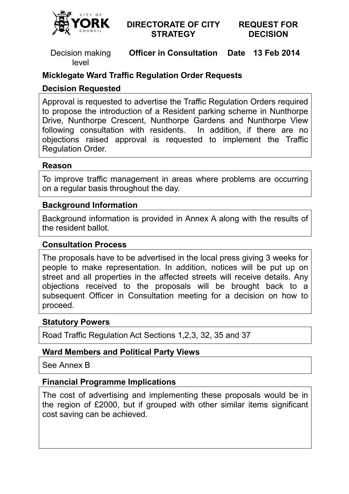

## **DIRECTORATE OF CITY STRATEGY**

#### **REQUEST FOR DECISION**

Decision making level

**Officer in Consultation Date 13 Feb 2014** 

# **Micklegate Ward Traffic Regulation Order Requests**

### **Decision Requested**

Approval is requested to advertise the Traffic Regulation Orders required to propose the introduction of a Resident parking scheme in Nunthorpe Drive, Nunthorpe Crescent, Nunthorpe Gardens and Nunthorpe View following consultation with residents. In addition, if there are no objections raised approval is requested to implement the Traffic Regulation Order. Officer in Consultation Date 13 Feb 2014<br>
affic Regulation Order Requests<br>
d<br>
d to advertise the Traffic Regulation Orders require<br>
duction of a Resident parking scheme in Nunthrorp<br>
muscule of a Resident parking scheme in

#### **Reason**

To improve traffic management in areas where problems are occurring on a regular basis throughout the day.

#### **Background Information**

Background information is provided in Annex A along with the results of the resident ballot.

#### **Consultation Process**

The proposals have to be advertised in the local press giving 3 weeks for people to make representation. In addition, notices will be put up on street and all properties in the affected streets will receive objections received to the proposals will be brought back to a subsequent Officer in Consultation meeting for a decision on how to proceed. ion, if there are no<br>
mplement the Traffic<br>
Traffic<br>
Traffic<br>
Traffic<br>
Domg with the results of<br>
The receive details. Any

#### **Statutory Powers**

Road Traffic Regulation Act Sections 1,2,3, 32, 35 and 37

## **Ward Members and Political Party Views**

See Annex B

#### **Financial Programme Implications**

The cost of advertising and implementing these proposals would be in the region of £2000, but if grouped with other similar items significant cost saving can be achieved.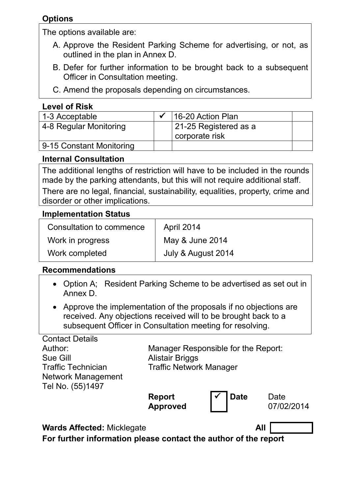# **Options**

The options available are:

- A. Approve the Resident Parking Scheme for advertising, or not, as outlined in the plan in Annex D.
- B. Defer for further information to be brought back to a subsequent Officer in Consultation meeting.
- C. Amend the proposals depending on circumstances.

# **Level of Risk**

| 1-3 Acceptable           | $\checkmark$ 16-20 Action Plan          |  |
|--------------------------|-----------------------------------------|--|
| 4-8 Regular Monitoring   | 21-25 Registered as a<br>corporate risk |  |
| 9-15 Constant Monitoring |                                         |  |

# **Internal Consultation**

The additional lengths of restriction will have to be included in the rounds made by the parking attendants, but this will not require additional staff. There are no legal, financial, sustainability, equalities, property, crime and disorder or other implications.

## **Implementation Status**

| Consultation to commence | April 2014         |  |
|--------------------------|--------------------|--|
| Work in progress         | May & June 2014    |  |
| Work completed           | July & August 2014 |  |

### **Recommendations**

- Option A; Resident Parking Scheme to be advertised as set out in Annex D.
- Approve the implementation of the proposals if no objections are received. Any objections received will to be brought back to a subsequent Officer in Consultation meeting for resolving.

Contact Details Author: Sue Gill Traffic Technician Network Management Tel No. (55)1497

Manager Responsible for the Report: Alistair Briggs Traffic Network Manager

**Report Approved** 

**Date** Date 07/02/2014

**Wards Affected:** Micklegate **All** 

**For further information please contact the author of the report**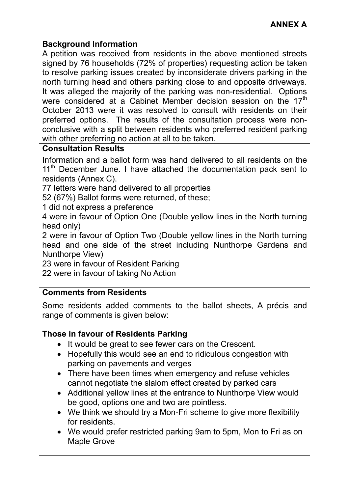### **Background Information**

A petition was received from residents in the above mentioned streets signed by 76 households (72% of properties) requesting action be taken to resolve parking issues created by inconsiderate drivers parking in the north turning head and others parking close to and opposite driveways. It was alleged the majority of the parking was non-residential. Options were considered at a Cabinet Member decision session on the  $17<sup>th</sup>$ October 2013 were it was resolved to consult with residents on their preferred options. The results of the consultation process were nonconclusive with a split between residents who preferred resident parking with other preferring no action at all to be taken.

# **Consultation Results**

Information and a ballot form was hand delivered to all residents on the  $11<sup>th</sup>$  December June. I have attached the documentation pack sent to residents (Annex C).

77 letters were hand delivered to all properties

52 (67%) Ballot forms were returned, of these;

1 did not express a preference

4 were in favour of Option One (Double yellow lines in the North turning head only)

2 were in favour of Option Two (Double yellow lines in the North turning head and one side of the street including Nunthorpe Gardens and Nunthorpe View)

23 were in favour of Resident Parking

22 were in favour of taking No Action

# **Comments from Residents**

Some residents added comments to the ballot sheets, A précis and range of comments is given below:

# **Those in favour of Residents Parking**

- It would be great to see fewer cars on the Crescent.
- Hopefully this would see an end to ridiculous congestion with parking on pavements and verges
- There have been times when emergency and refuse vehicles cannot negotiate the slalom effect created by parked cars
- Additional yellow lines at the entrance to Nunthorpe View would be good, options one and two are pointless.
- We think we should try a Mon-Fri scheme to give more flexibility for residents.
- We would prefer restricted parking 9am to 5pm, Mon to Fri as on Maple Grove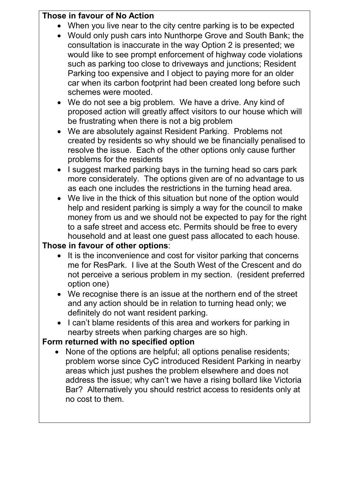# **Those in favour of No Action**

- When you live near to the city centre parking is to be expected
- Would only push cars into Nunthorpe Grove and South Bank; the consultation is inaccurate in the way Option 2 is presented; we would like to see prompt enforcement of highway code violations such as parking too close to driveways and junctions; Resident Parking too expensive and I object to paying more for an older car when its carbon footprint had been created long before such schemes were mooted.
- We do not see a big problem. We have a drive. Any kind of proposed action will greatly affect visitors to our house which will be frustrating when there is not a big problem
- We are absolutely against Resident Parking. Problems not created by residents so why should we be financially penalised to resolve the issue. Each of the other options only cause further problems for the residents
- I suggest marked parking bays in the turning head so cars park more considerately. The options given are of no advantage to us as each one includes the restrictions in the turning head area.
- We live in the thick of this situation but none of the option would help and resident parking is simply a way for the council to make money from us and we should not be expected to pay for the right to a safe street and access etc. Permits should be free to every household and at least one guest pass allocated to each house.

# **Those in favour of other options**:

- It is the inconvenience and cost for visitor parking that concerns me for ResPark. I live at the South West of the Crescent and do not perceive a serious problem in my section. (resident preferred option one)
- We recognise there is an issue at the northern end of the street and any action should be in relation to turning head only; we definitely do not want resident parking.
- I can't blame residents of this area and workers for parking in nearby streets when parking charges are so high.

# **Form returned with no specified option**

• None of the options are helpful; all options penalise residents; problem worse since CyC introduced Resident Parking in nearby areas which just pushes the problem elsewhere and does not address the issue; why can't we have a rising bollard like Victoria Bar? Alternatively you should restrict access to residents only at no cost to them.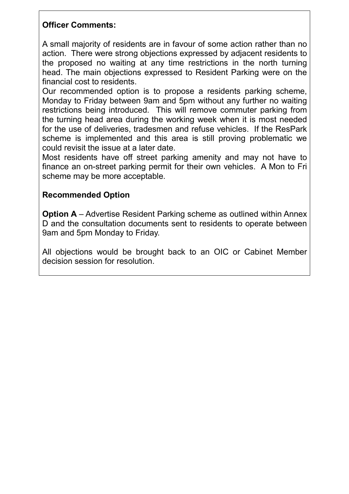# **Officer Comments:**

A small majority of residents are in favour of some action rather than no action. There were strong objections expressed by adjacent residents to the proposed no waiting at any time restrictions in the north turning head. The main objections expressed to Resident Parking were on the financial cost to residents.

Our recommended option is to propose a residents parking scheme, Monday to Friday between 9am and 5pm without any further no waiting restrictions being introduced. This will remove commuter parking from the turning head area during the working week when it is most needed for the use of deliveries, tradesmen and refuse vehicles. If the ResPark scheme is implemented and this area is still proving problematic we could revisit the issue at a later date.

Most residents have off street parking amenity and may not have to finance an on-street parking permit for their own vehicles. A Mon to Fri scheme may be more acceptable.

# **Recommended Option**

**Option A** – Advertise Resident Parking scheme as outlined within Annex D and the consultation documents sent to residents to operate between 9am and 5pm Monday to Friday.

All objections would be brought back to an OIC or Cabinet Member decision session for resolution.